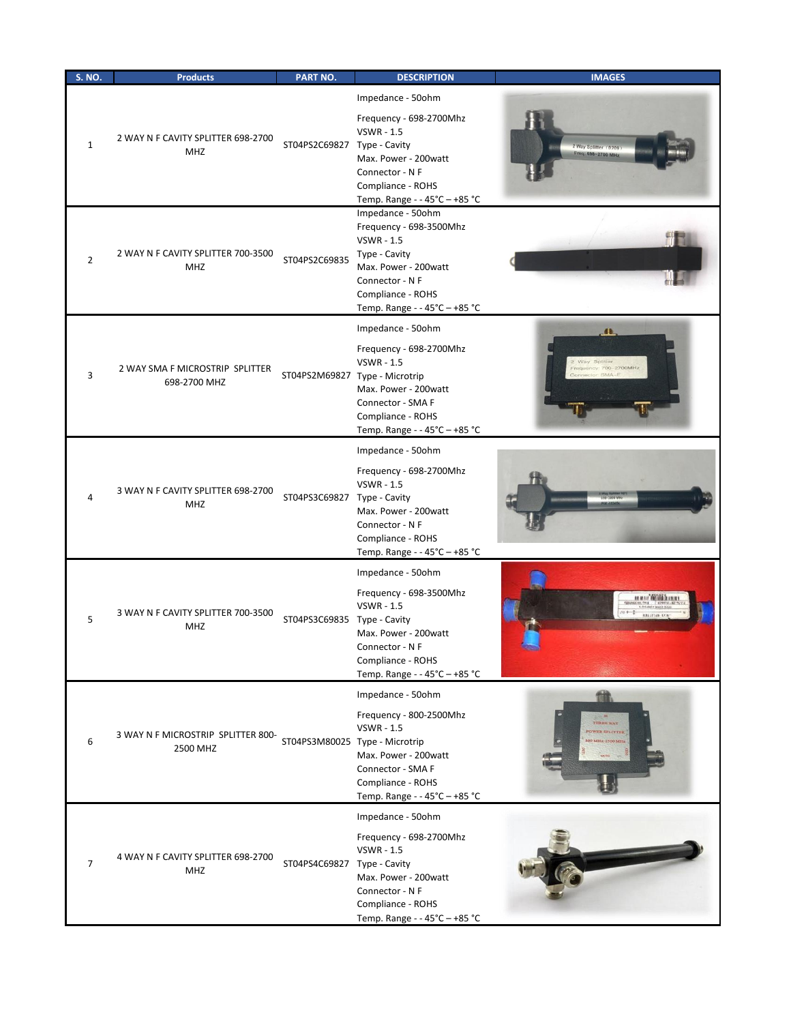| <b>S. NO.</b>  | <b>Products</b>                                  | <b>PART NO.</b>                | <b>DESCRIPTION</b>                                                                                                                                                                  | <b>IMAGES</b>                                                             |
|----------------|--------------------------------------------------|--------------------------------|-------------------------------------------------------------------------------------------------------------------------------------------------------------------------------------|---------------------------------------------------------------------------|
| $\mathbf{1}$   | 2 WAY N F CAVITY SPLITTER 698-2700<br><b>MHZ</b> | ST04PS2C69827 Type - Cavity    | Impedance - 50ohm<br>Frequency - 698-2700Mhz<br><b>VSWR - 1.5</b><br>Max. Power - 200watt<br>Connector - N F<br>Compliance - ROHS<br>Temp. Range - - 45°C - +85 °C                  | 2 Way Splitter (020<br>Freq: 698-2700 MHz                                 |
| 2              | 2 WAY N F CAVITY SPLITTER 700-3500<br><b>MHZ</b> | ST04PS2C69835                  | Impedance - 50ohm<br>Frequency - 698-3500Mhz<br><b>VSWR - 1.5</b><br>Type - Cavity<br>Max. Power - 200watt<br>Connector - N F<br>Compliance - ROHS<br>Temp. Range - - 45°C - +85 °C |                                                                           |
| 3              | 2 WAY SMA F MICROSTRIP SPLITTER<br>698-2700 MHZ  | ST04PS2M69827 Type - Microtrip | Impedance - 50ohm<br>Frequency - 698-2700Mhz<br><b>VSWR - 1.5</b><br>Max. Power - 200watt<br>Connector - SMA F<br>Compliance - ROHS<br>Temp. Range - - 45°C - +85 °C                | $\mathbf{a}$<br>Way Splitter<br>requency: 700-2700MHz<br>$-SMAD-$         |
| 4              | 3 WAY N F CAVITY SPLITTER 698-2700<br><b>MHZ</b> | ST04PS3C69827 Type - Cavity    | Impedance - 50ohm<br>Frequency - 698-2700Mhz<br><b>VSWR - 1.5</b><br>Max. Power - 200watt<br>Connector - N F<br>Compliance - ROHS<br>Temp. Range - - 45°C - +85 °C                  |                                                                           |
| 5              | 3 WAY N F CAVITY SPLITTER 700-3500<br>MHZ        | ST04PS3C69835 Type - Cavity    | Impedance - 50ohm<br>Frequency - 698-3500Mhz<br><b>VSWR - 1.5</b><br>Max. Power - 200watt<br>Connector - N F<br>Compliance - ROHS<br>Temp. Range - - 45°C - +85 °C                  | AN AN AIR AND A REAL AND A<br><b>FIRST STATE</b><br><b>MELITIAN AVAIL</b> |
| 6              | 3 WAY N F MICROSTRIP SPLITTER 800-<br>2500 MHZ   | ST04PS3M80025 Type - Microtrip | Impedance - 50ohm<br>Frequency - 800-2500Mhz<br><b>VSWR - 1.5</b><br>Max. Power - 200watt<br>Connector - SMA F<br>Compliance - ROHS<br>Temp. Range - - 45°C - +85 °C                | THREE WAY<br><b>POWER SPLITTER</b><br>800 MHz 2500 MHz                    |
| $\overline{7}$ | 4 WAY N F CAVITY SPLITTER 698-2700<br><b>MHZ</b> | ST04PS4C69827 Type - Cavity    | Impedance - 50ohm<br>Frequency - 698-2700Mhz<br><b>VSWR - 1.5</b><br>Max. Power - 200watt<br>Connector - N F<br>Compliance - ROHS<br>Temp. Range - - 45°C - +85 °C                  |                                                                           |